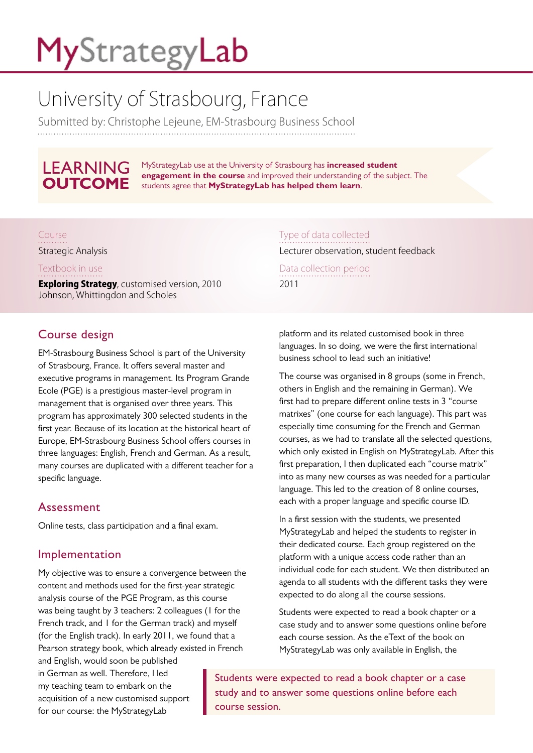# MyStrategyLab

## **University of Strasbourg, France**

Submitted by: Christophe Lejeune, EM-Strasbourg Business School

### **LEARNING OUTCOME**

MyStrategyLab use at the University of Strasbourg has **increased student engagement in the course** and improved their understanding of the subject. The students agree that **MyStrategyLab has helped them learn**.

#### **Course**

Strategic Analysis

#### **Textbook in use**

*Exploring Strategy*, customised version, 2010 Johnson, Whittingdon and Scholes

#### Course design

EM-Strasbourg Business School is part of the University of Strasbourg, France. It offers several master and executive programs in management. Its Program Grande Ecole (PGE) is a prestigious master-level program in management that is organised over three years. This program has approximately 300 selected students in the first year. Because of its location at the historical heart of Europe, EM-Strasbourg Business School offers courses in three languages: English, French and German. As a result, many courses are duplicated with a different teacher for a specific language.

#### Assessment

Online tests, class participation and a final exam.

#### Implementation

My objective was to ensure a convergence between the content and methods used for the first-year strategic analysis course of the PGE Program, as this course was being taught by 3 teachers: 2 colleagues (1 for the French track, and 1 for the German track) and myself (for the English track). In early 2011, we found that a Pearson strategy book, which already existed in French

and English, would soon be published in German as well. Therefore, I led my teaching team to embark on the acquisition of a new customised support for our course: the MyStrategyLab

**Type of data collected** Lecturer observation, student feedback

**Data collection period** 2011

platform and its related customised book in three languages. In so doing, we were the first international business school to lead such an initiative!

The course was organised in 8 groups (some in French, others in English and the remaining in German). We first had to prepare different online tests in 3 "course matrixes" (one course for each language). This part was especially time consuming for the French and German courses, as we had to translate all the selected questions, which only existed in English on MyStrategyLab. After this first preparation, I then duplicated each "course matrix" into as many new courses as was needed for a particular language. This led to the creation of 8 online courses, each with a proper language and specific course ID.

In a first session with the students, we presented MyStrategyLab and helped the students to register in their dedicated course. Each group registered on the platform with a unique access code rather than an individual code for each student. We then distributed an agenda to all students with the different tasks they were expected to do along all the course sessions.

Students were expected to read a book chapter or a case study and to answer some questions online before each course session. As the eText of the book on MyStrategyLab was only available in English, the

Students were expected to read a book chapter or a case study and to answer some questions online before each course session.